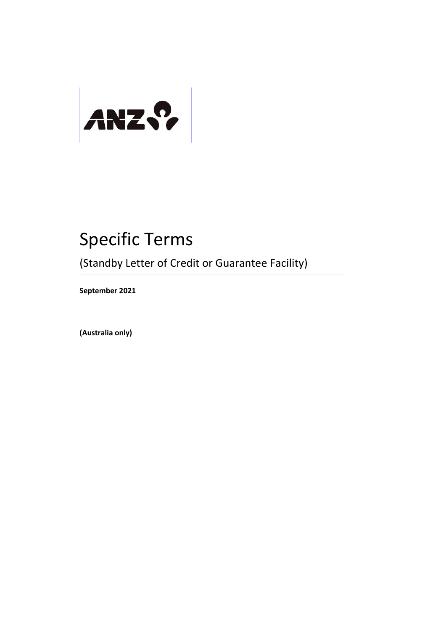

# Specific Terms

(Standby Letter of Credit or Guarantee Facility)

**September 2021**

**(Australia only)**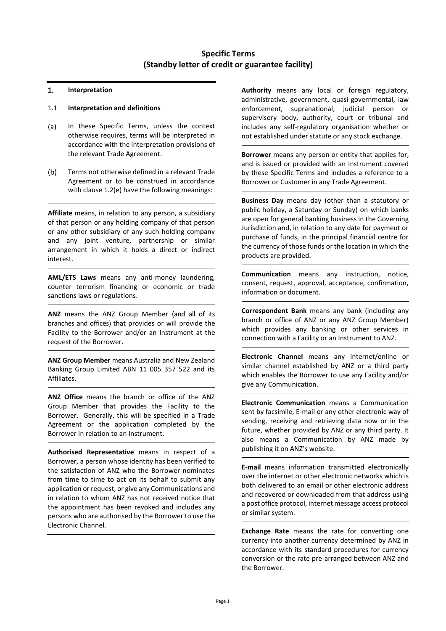# **Specific Terms (Standby letter of credit or guarantee facility)**

#### 1. **Interpretation**

### 1.1 **Interpretation and definitions**

- In these Specific Terms, unless the context  $(a)$ otherwise requires, terms will be interpreted in accordance with the interpretation provisions of the relevant Trade Agreement.
- Terms not otherwise defined in a relevant Trade  $(b)$ Agreement or to be construed in accordance with clause [1.2\(e\)](#page-2-0) have the following meanings:

**Affiliate** means, in relation to any person, a subsidiary of that person or any holding company of that person or any other subsidiary of any such holding company and any joint venture, partnership or similar arrangement in which it holds a direct or indirect interest.

**AML/ETS Laws** means any anti-money laundering, counter terrorism financing or economic or trade sanctions laws or regulations.

**ANZ** means the ANZ Group Member (and all of its branches and offices) that provides or will provide the Facility to the Borrower and/or an Instrument at the request of the Borrower.

**ANZ Group Member** means Australia and New Zealand Banking Group Limited ABN 11 005 357 522 and its Affiliates.

**ANZ Office** means the branch or office of the ANZ Group Member that provides the Facility to the Borrower. Generally, this will be specified in a Trade Agreement or the application completed by the Borrower in relation to an Instrument.

**Authorised Representative** means in respect of a Borrower, a person whose identity has been verified to the satisfaction of ANZ who the Borrower nominates from time to time to act on its behalf to submit any application or request, or give any Communications and in relation to whom ANZ has not received notice that the appointment has been revoked and includes any persons who are authorised by the Borrower to use the Electronic Channel.

**Authority** means any local or foreign regulatory, administrative, government, quasi-governmental, law enforcement, supranational, judicial person or supervisory body, authority, court or tribunal and includes any self-regulatory organisation whether or not established under statute or any stock exchange.

**Borrower** means any person or entity that applies for, and is issued or provided with an Instrument covered by these Specific Terms and includes a reference to a Borrower or Customer in any Trade Agreement.

**Business Day** means day (other than a statutory or public holiday, a Saturday or Sunday) on which banks are open for general banking business in the Governing Jurisdiction and, in relation to any date for payment or purchase of funds, in the principal financial centre for the currency of those funds or the location in which the products are provided.

**Communication** means any instruction, notice, consent, request, approval, acceptance, confirmation, information or document.

**Correspondent Bank** means any bank (including any branch or office of ANZ or any ANZ Group Member) which provides any banking or other services in connection with a Facility or an Instrument to ANZ.

**Electronic Channel** means any internet/online or similar channel established by ANZ or a third party which enables the Borrower to use any Facility and/or give any Communication.

**Electronic Communication** means a Communication sent by facsimile, E-mail or any other electronic way of sending, receiving and retrieving data now or in the future, whether provided by ANZ or any third party. It also means a Communication by ANZ made by publishing it on ANZ's website.

**E-mail** means information transmitted electronically over the internet or other electronic networks which is both delivered to an email or other electronic address and recovered or downloaded from that address using a post office protocol, internet message access protocol or similar system.

**Exchange Rate** means the rate for converting one currency into another currency determined by ANZ in accordance with its standard procedures for currency conversion or the rate pre-arranged between ANZ and the Borrower.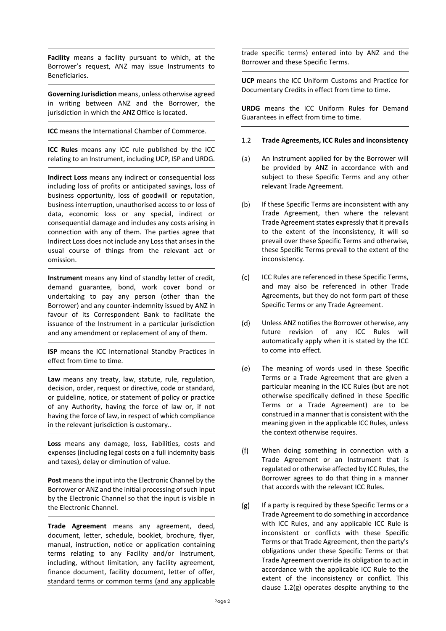**Facility** means a facility pursuant to which, at the Borrower's request, ANZ may issue Instruments to Beneficiaries.

**Governing Jurisdiction** means, unless otherwise agreed in writing between ANZ and the Borrower, the jurisdiction in which the ANZ Office is located.

**ICC** means the International Chamber of Commerce.

**ICC Rules** means any ICC rule published by the ICC relating to an Instrument, including UCP, ISP and URDG.

**Indirect Loss** means any indirect or consequential loss including loss of profits or anticipated savings, loss of business opportunity, loss of goodwill or reputation, business interruption, unauthorised access to or loss of data, economic loss or any special, indirect or consequential damage and includes any costs arising in connection with any of them. The parties agree that Indirect Loss does not include any Loss that arises in the usual course of things from the relevant act or omission.

**Instrument** means any kind of standby letter of credit, demand guarantee, bond, work cover bond or undertaking to pay any person (other than the Borrower) and any counter-indemnity issued by ANZ in favour of its Correspondent Bank to facilitate the issuance of the Instrument in a particular jurisdiction and any amendment or replacement of any of them.

**ISP** means the ICC International Standby Practices in effect from time to time.

**Law** means any treaty, law, statute, rule, regulation, decision, order, request or directive, code or standard, or guideline, notice, or statement of policy or practice of any Authority, having the force of law or, if not having the force of law, in respect of which compliance in the relevant jurisdiction is customary..

**Loss** means any damage, loss, liabilities, costs and expenses (including legal costs on a full indemnity basis and taxes), delay or diminution of value.

Post means the input into the Electronic Channel by the Borrower or ANZ and the initial processing of such input by the Electronic Channel so that the input is visible in the Electronic Channel.

**Trade Agreement** means any agreement, deed, document, letter, schedule, booklet, brochure, flyer, manual, instruction, notice or application containing terms relating to any Facility and/or Instrument, including, without limitation, any facility agreement, finance document, facility document, letter of offer, standard terms or common terms (and any applicable

trade specific terms) entered into by ANZ and the Borrower and these Specific Terms.

**UCP** means the ICC Uniform Customs and Practice for Documentary Credits in effect from time to time.

**URDG** means the ICC Uniform Rules for Demand Guarantees in effect from time to time.

# 1.2 **Trade Agreements, ICC Rules and inconsistency**

- $(a)$ An Instrument applied for by the Borrower will be provided by ANZ in accordance with and subject to these Specific Terms and any other relevant Trade Agreement.
- $(b)$ If these Specific Terms are inconsistent with any Trade Agreement, then where the relevant Trade Agreement states expressly that it prevails to the extent of the inconsistency, it will so prevail over these Specific Terms and otherwise, these Specific Terms prevail to the extent of the inconsistency.
- $(c)$ ICC Rules are referenced in these Specific Terms, and may also be referenced in other Trade Agreements, but they do not form part of these Specific Terms or any Trade Agreement.
- $(d)$ Unless ANZ notifies the Borrower otherwise, any future revision of any ICC Rules will automatically apply when it is stated by the ICC to come into effect.
- <span id="page-2-0"></span>(e) The meaning of words used in these Specific Terms or a Trade Agreement that are given a particular meaning in the ICC Rules (but are not otherwise specifically defined in these Specific Terms or a Trade Agreement) are to be construed in a manner that is consistent with the meaning given in the applicable ICC Rules, unless the context otherwise requires.
- When doing something in connection with a  $(f)$ Trade Agreement or an Instrument that is regulated or otherwise affected by ICC Rules, the Borrower agrees to do that thing in a manner that accords with the relevant ICC Rules.
- <span id="page-2-1"></span> $(g)$ If a party is required by these Specific Terms or a Trade Agreement to do something in accordance with ICC Rules, and any applicable ICC Rule is inconsistent or conflicts with these Specific Terms or that Trade Agreement, then the party's obligations under these Specific Terms or that Trade Agreement override its obligation to act in accordance with the applicable ICC Rule to the extent of the inconsistency or conflict. This clause [1.2\(g\)](#page-2-1) operates despite anything to the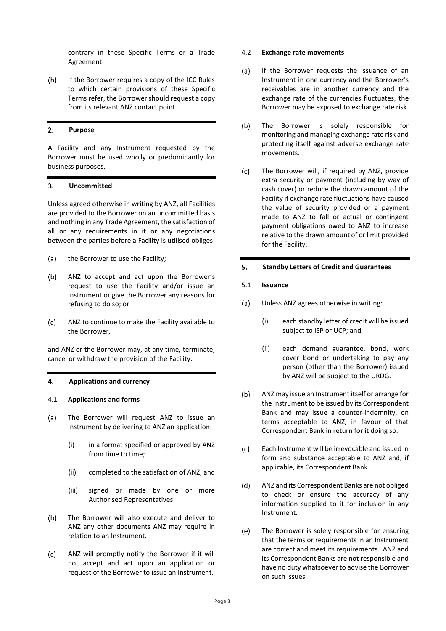contrary in these Specific Terms or a Trade Agreement.

 $(h)$ If the Borrower requires a copy of the ICC Rules to which certain provisions of these Specific Terms refer, the Borrower should request a copy from its relevant ANZ contact point.

#### $2.$ **Purpose**

A Facility and any Instrument requested by the Borrower must be used wholly or predominantly for business purposes.

#### **Uncommitted** 3.

Unless agreed otherwise in writing by ANZ, all Facilities are provided to the Borrower on an uncommitted basis and nothing in any Trade Agreement, the satisfaction of all or any requirements in it or any negotiations between the parties before a Facility is utilised obliges:

- $(a)$ the Borrower to use the Facility;
- $(b)$ ANZ to accept and act upon the Borrower's request to use the Facility and/or issue an Instrument or give the Borrower any reasons for refusing to do so; or
- $(c)$ ANZ to continue to make the Facility available to the Borrower,

and ANZ or the Borrower may, at any time, terminate, cancel or withdraw the provision of the Facility.

#### 4. **Applications and currency**

#### 4.1 **Applications and forms**

- The Borrower will request ANZ to issue an  $(a)$ Instrument by delivering to ANZ an application:
	- (i) in a format specified or approved by ANZ from time to time;
	- (ii) completed to the satisfaction of ANZ; and
	- (iii) signed or made by one or more Authorised Representatives.
- $(b)$ The Borrower will also execute and deliver to ANZ any other documents ANZ may require in relation to an Instrument.
- $(c)$ ANZ will promptly notify the Borrower if it will not accept and act upon an application or request of the Borrower to issue an Instrument.

#### 4.2 **Exchange rate movements**

- If the Borrower requests the issuance of an  $(a)$ Instrument in one currency and the Borrower's receivables are in another currency and the exchange rate of the currencies fluctuates, the Borrower may be exposed to exchange rate risk.
- $(b)$ The Borrower is solely responsible for monitoring and managing exchange rate risk and protecting itself against adverse exchange rate movements.
- $(c)$ The Borrower will, if required by ANZ, provide extra security or payment (including by way of cash cover) or reduce the drawn amount of the Facility if exchange rate fluctuations have caused the value of security provided or a payment made to ANZ to fall or actual or contingent payment obligations owed to ANZ to increase relative to the drawn amount of or limit provided for the Facility.

#### 5. **Standby Letters of Credit and Guarantees**

#### 5.1 **Issuance**

- $(a)$ Unless ANZ agrees otherwise in writing:
	- (i) each standby letter of credit will be issued subject to ISP or UCP; and
	- (ii) each demand guarantee, bond, work cover bond or undertaking to pay any person (other than the Borrower) issued by ANZ will be subject to the URDG.
- $(b)$ ANZ may issue an Instrument itself or arrange for the Instrument to be issued by its Correspondent Bank and may issue a counter-indemnity, on terms acceptable to ANZ, in favour of that Correspondent Bank in return for it doing so.
- $(c)$ Each Instrument will be irrevocable and issued in form and substance acceptable to ANZ and, if applicable, its Correspondent Bank.
- $(d)$ ANZ and its Correspondent Banks are not obliged to check or ensure the accuracy of any information supplied to it for inclusion in any Instrument.
- $(e)$ The Borrower is solely responsible for ensuring that the terms or requirements in an Instrument are correct and meet its requirements. ANZ and its Correspondent Banks are not responsible and have no duty whatsoever to advise the Borrower on such issues.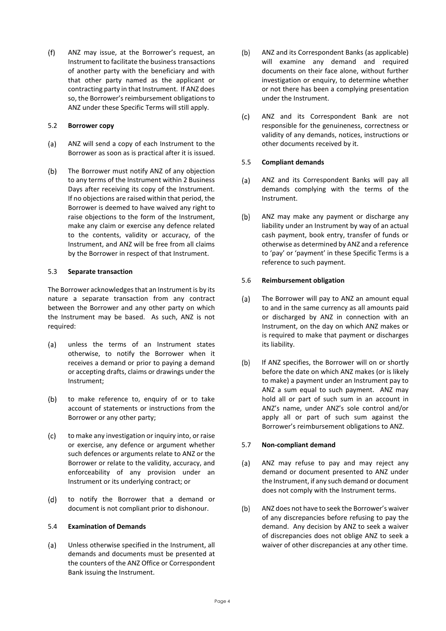$(f)$ ANZ may issue, at the Borrower's request, an Instrument to facilitate the business transactions of another party with the beneficiary and with that other party named as the applicant or contracting party in that Instrument. If ANZ does so, the Borrower's reimbursement obligations to ANZ under these Specific Terms will still apply.

# 5.2 **Borrower copy**

- ANZ will send a copy of each Instrument to the  $(a)$ Borrower as soon as is practical after it is issued.
- $(b)$ The Borrower must notify ANZ of any objection to any terms of the Instrument within 2 Business Days after receiving its copy of the Instrument. If no objections are raised within that period, the Borrower is deemed to have waived any right to raise objections to the form of the Instrument, make any claim or exercise any defence related to the contents, validity or accuracy, of the Instrument, and ANZ will be free from all claims by the Borrower in respect of that Instrument.

# 5.3 **Separate transaction**

The Borrower acknowledges that an Instrument is by its nature a separate transaction from any contract between the Borrower and any other party on which the Instrument may be based. As such, ANZ is not required:

- $(a)$ unless the terms of an Instrument states otherwise, to notify the Borrower when it receives a demand or prior to paying a demand or accepting drafts, claims or drawings under the Instrument;
- $(b)$ to make reference to, enquiry of or to take account of statements or instructions from the Borrower or any other party;
- $(c)$ to make any investigation or inquiry into, or raise or exercise, any defence or argument whether such defences or arguments relate to ANZ or the Borrower or relate to the validity, accuracy, and enforceability of any provision under an Instrument or its underlying contract; or
- $(d)$ to notify the Borrower that a demand or document is not compliant prior to dishonour.

### 5.4 **Examination of Demands**

 $(a)$ Unless otherwise specified in the Instrument, all demands and documents must be presented at the counters of the ANZ Office or Correspondent Bank issuing the Instrument.

- $(b)$ ANZ and its Correspondent Banks (as applicable) will examine any demand and required documents on their face alone, without further investigation or enquiry, to determine whether or not there has been a complying presentation under the Instrument.
- $(c)$ ANZ and its Correspondent Bank are not responsible for the genuineness, correctness or validity of any demands, notices, instructions or other documents received by it.

# 5.5 **Compliant demands**

- ANZ and its Correspondent Banks will pay all  $(a)$ demands complying with the terms of the Instrument.
- $(b)$ ANZ may make any payment or discharge any liability under an Instrument by way of an actual cash payment, book entry, transfer of funds or otherwise as determined by ANZ and a reference to 'pay' or 'payment' in these Specific Terms is a reference to such payment.

# 5.6 **Reimbursement obligation**

- $(a)$ The Borrower will pay to ANZ an amount equal to and in the same currency as all amounts paid or discharged by ANZ in connection with an Instrument, on the day on which ANZ makes or is required to make that payment or discharges its liability.
- $(b)$ If ANZ specifies, the Borrower will on or shortly before the date on which ANZ makes (or is likely to make) a payment under an Instrument pay to ANZ a sum equal to such payment. ANZ may hold all or part of such sum in an account in ANZ's name, under ANZ's sole control and/or apply all or part of such sum against the Borrower's reimbursement obligations to ANZ.

### 5.7 **Non-compliant demand**

- $(a)$ ANZ may refuse to pay and may reject any demand or document presented to ANZ under the Instrument, if any such demand or document does not comply with the Instrument terms.
- ANZ does not have to seek the Borrower's waiver  $(b)$ of any discrepancies before refusing to pay the demand. Any decision by ANZ to seek a waiver of discrepancies does not oblige ANZ to seek a waiver of other discrepancies at any other time.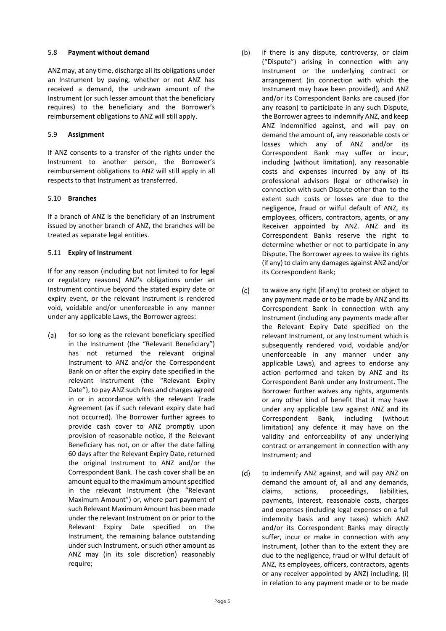### 5.8 **Payment without demand**

ANZ may, at any time, discharge all its obligations under an Instrument by paying, whether or not ANZ has received a demand, the undrawn amount of the Instrument (or such lesser amount that the beneficiary requires) to the beneficiary and the Borrower's reimbursement obligations to ANZ will still apply.

# 5.9 **Assignment**

If ANZ consents to a transfer of the rights under the Instrument to another person, the Borrower's reimbursement obligations to ANZ will still apply in all respects to that Instrument as transferred.

# 5.10 **Branches**

If a branch of ANZ is the beneficiary of an Instrument issued by another branch of ANZ, the branches will be treated as separate legal entities.

# 5.11 **Expiry of Instrument**

If for any reason (including but not limited to for legal or regulatory reasons) ANZ's obligations under an Instrument continue beyond the stated expiry date or expiry event, or the relevant Instrument is rendered void, voidable and/or unenforceable in any manner under any applicable Laws, the Borrower agrees:

- $(a)$ for so long as the relevant beneficiary specified in the Instrument (the "Relevant Beneficiary") has not returned the relevant original Instrument to ANZ and/or the Correspondent Bank on or after the expiry date specified in the relevant Instrument (the "Relevant Expiry Date"), to pay ANZ such fees and charges agreed in or in accordance with the relevant Trade Agreement (as if such relevant expiry date had not occurred). The Borrower further agrees to provide cash cover to ANZ promptly upon provision of reasonable notice, if the Relevant Beneficiary has not, on or after the date falling 60 days after the Relevant Expiry Date, returned the original Instrument to ANZ and/or the Correspondent Bank. The cash cover shall be an amount equal to the maximum amount specified in the relevant Instrument (the "Relevant Maximum Amount") or, where part payment of such Relevant Maximum Amount has been made under the relevant Instrument on or prior to the Relevant Expiry Date specified on the Instrument, the remaining balance outstanding under such Instrument, or such other amount as ANZ may (in its sole discretion) reasonably require;
- $(b)$ if there is any dispute, controversy, or claim ("Dispute") arising in connection with any Instrument or the underlying contract or arrangement (in connection with which the Instrument may have been provided), and ANZ and/or its Correspondent Banks are caused (for any reason) to participate in any such Dispute, the Borrower agrees to indemnify ANZ, and keep ANZ indemnified against, and will pay on demand the amount of, any reasonable costs or losses which any of ANZ and/or its Correspondent Bank may suffer or incur, including (without limitation), any reasonable costs and expenses incurred by any of its professional advisors (legal or otherwise) in connection with such Dispute other than to the extent such costs or losses are due to the negligence, fraud or wilful default of ANZ, its employees, officers, contractors, agents, or any Receiver appointed by ANZ. ANZ and its Correspondent Banks reserve the right to determine whether or not to participate in any Dispute. The Borrower agrees to waive its rights (if any) to claim any damages against ANZ and/or its Correspondent Bank;
- $(c)$ to waive any right (if any) to protest or object to any payment made or to be made by ANZ and its Correspondent Bank in connection with any Instrument (including any payments made after the Relevant Expiry Date specified on the relevant Instrument, or any Instrument which is subsequently rendered void, voidable and/or unenforceable in any manner under any applicable Laws), and agrees to endorse any action performed and taken by ANZ and its Correspondent Bank under any Instrument. The Borrower further waives any rights, arguments or any other kind of benefit that it may have under any applicable Law against ANZ and its Correspondent Bank, including (without limitation) any defence it may have on the validity and enforceability of any underlying contract or arrangement in connection with any Instrument; and
- $(d)$ to indemnify ANZ against, and will pay ANZ on demand the amount of, all and any demands, claims, actions, proceedings, liabilities, payments, interest, reasonable costs, charges and expenses (including legal expenses on a full indemnity basis and any taxes) which ANZ and/or its Correspondent Banks may directly suffer, incur or make in connection with any Instrument, (other than to the extent they are due to the negligence, fraud or wilful default of ANZ, its employees, officers, contractors, agents or any receiver appointed by ANZ) including, (i) in relation to any payment made or to be made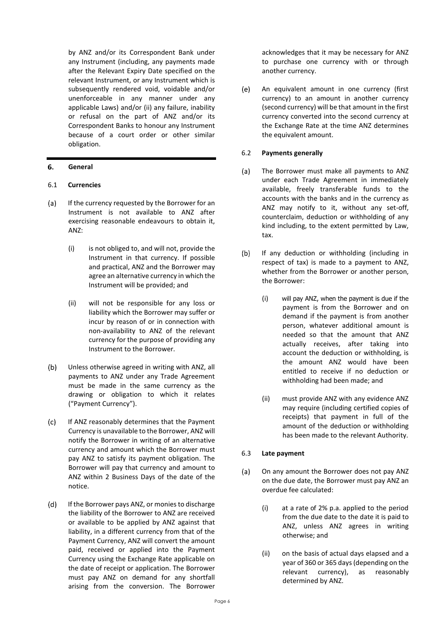by ANZ and/or its Correspondent Bank under any Instrument (including, any payments made after the Relevant Expiry Date specified on the relevant Instrument, or any Instrument which is subsequently rendered void, voidable and/or unenforceable in any manner under any applicable Laws) and/or (ii) any failure, inability or refusal on the part of ANZ and/or its Correspondent Banks to honour any Instrument because of a court order or other similar obligation.

#### 6. **General**

# 6.1 **Currencies**

- $(a)$ If the currency requested by the Borrower for an Instrument is not available to ANZ after exercising reasonable endeavours to obtain it, ANZ:
	- (i) is not obliged to, and will not, provide the Instrument in that currency. If possible and practical, ANZ and the Borrower may agree an alternative currency in which the Instrument will be provided; and
	- (ii) will not be responsible for any loss or liability which the Borrower may suffer or incur by reason of or in connection with non-availability to ANZ of the relevant currency for the purpose of providing any Instrument to the Borrower.
- $(b)$ Unless otherwise agreed in writing with ANZ, all payments to ANZ under any Trade Agreement must be made in the same currency as the drawing or obligation to which it relates ("Payment Currency").
- $(c)$ If ANZ reasonably determines that the Payment Currency is unavailable to the Borrower, ANZ will notify the Borrower in writing of an alternative currency and amount which the Borrower must pay ANZ to satisfy its payment obligation. The Borrower will pay that currency and amount to ANZ within 2 Business Days of the date of the notice.
- $(d)$ If the Borrower pays ANZ, or monies to discharge the liability of the Borrower to ANZ are received or available to be applied by ANZ against that liability, in a different currency from that of the Payment Currency, ANZ will convert the amount paid, received or applied into the Payment Currency using the Exchange Rate applicable on the date of receipt or application. The Borrower must pay ANZ on demand for any shortfall arising from the conversion. The Borrower

acknowledges that it may be necessary for ANZ to purchase one currency with or through another currency.

 $(e)$ An equivalent amount in one currency (first currency) to an amount in another currency (second currency) will be that amount in the first currency converted into the second currency at the Exchange Rate at the time ANZ determines the equivalent amount.

# 6.2 **Payments generally**

- $(a)$ The Borrower must make all payments to ANZ under each Trade Agreement in immediately available, freely transferable funds to the accounts with the banks and in the currency as ANZ may notify to it, without any set-off, counterclaim, deduction or withholding of any kind including, to the extent permitted by Law, tax.
- $(b)$ If any deduction or withholding (including in respect of tax) is made to a payment to ANZ, whether from the Borrower or another person, the Borrower:
	- (i) will pay ANZ, when the payment is due if the payment is from the Borrower and on demand if the payment is from another person, whatever additional amount is needed so that the amount that ANZ actually receives, after taking into account the deduction or withholding, is the amount ANZ would have been entitled to receive if no deduction or withholding had been made; and
	- (ii) must provide ANZ with any evidence ANZ may require (including certified copies of receipts) that payment in full of the amount of the deduction or withholding has been made to the relevant Authority.

# 6.3 **Late payment**

- $(a)$ On any amount the Borrower does not pay ANZ on the due date, the Borrower must pay ANZ an overdue fee calculated:
	- (i) at a rate of 2% p.a. applied to the period from the due date to the date it is paid to ANZ, unless ANZ agrees in writing otherwise; and
	- (ii) on the basis of actual days elapsed and a year of 360 or 365 days (depending on the relevant currency), as reasonably determined by ANZ.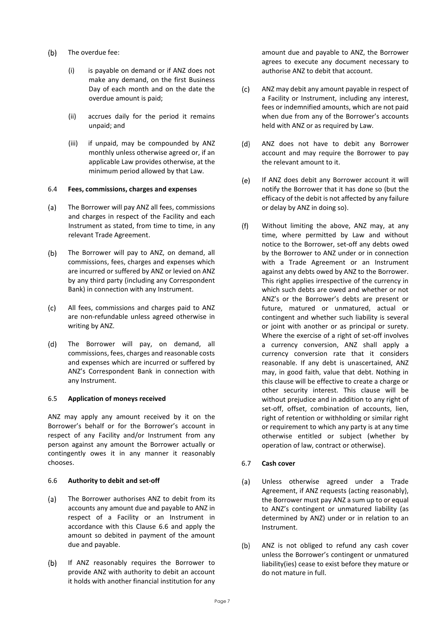- $(b)$ The overdue fee:
	- (i) is payable on demand or if ANZ does not make any demand, on the first Business Day of each month and on the date the overdue amount is paid;
	- (ii) accrues daily for the period it remains unpaid; and
	- (iii) if unpaid, may be compounded by ANZ monthly unless otherwise agreed or, if an applicable Law provides otherwise, at the minimum period allowed by that Law.

# 6.4 **Fees, commissions, charges and expenses**

- $(a)$ The Borrower will pay ANZ all fees, commissions and charges in respect of the Facility and each Instrument as stated, from time to time, in any relevant Trade Agreement.
- $(b)$ The Borrower will pay to ANZ, on demand, all commissions, fees, charges and expenses which are incurred or suffered by ANZ or levied on ANZ by any third party (including any Correspondent Bank) in connection with any Instrument.
- $(c)$ All fees, commissions and charges paid to ANZ are non-refundable unless agreed otherwise in writing by ANZ.
- $(d)$ The Borrower will pay, on demand, all commissions, fees, charges and reasonable costs and expenses which are incurred or suffered by ANZ's Correspondent Bank in connection with any Instrument.

# 6.5 **Application of moneys received**

ANZ may apply any amount received by it on the Borrower's behalf or for the Borrower's account in respect of any Facility and/or Instrument from any person against any amount the Borrower actually or contingently owes it in any manner it reasonably chooses.

### <span id="page-7-0"></span>6.6 **Authority to debit and set-off**

- $(a)$ The Borrower authorises ANZ to debit from its accounts any amount due and payable to ANZ in respect of a Facility or an Instrument in accordance with this Clause [6.6](#page-7-0) and apply the amount so debited in payment of the amount due and payable.
- $(b)$ If ANZ reasonably requires the Borrower to provide ANZ with authority to debit an account it holds with another financial institution for any

amount due and payable to ANZ, the Borrower agrees to execute any document necessary to authorise ANZ to debit that account.

- $(c)$ ANZ may debit any amount payable in respect of a Facility or Instrument, including any interest, fees or indemnified amounts, which are not paid when due from any of the Borrower's accounts held with ANZ or as required by Law.
- ANZ does not have to debit any Borrower  $(d)$ account and may require the Borrower to pay the relevant amount to it.
- $(e)$ If ANZ does debit any Borrower account it will notify the Borrower that it has done so (but the efficacy of the debit is not affected by any failure or delay by ANZ in doing so).
- $(f)$ Without limiting the above, ANZ may, at any time, where permitted by Law and without notice to the Borrower, set-off any debts owed by the Borrower to ANZ under or in connection with a Trade Agreement or an Instrument against any debts owed by ANZ to the Borrower. This right applies irrespective of the currency in which such debts are owed and whether or not ANZ's or the Borrower's debts are present or future, matured or unmatured, actual or contingent and whether such liability is several or joint with another or as principal or surety. Where the exercise of a right of set-off involves a currency conversion, ANZ shall apply a currency conversion rate that it considers reasonable. If any debt is unascertained, ANZ may, in good faith, value that debt. Nothing in this clause will be effective to create a charge or other security interest. This clause will be without prejudice and in addition to any right of set-off, offset, combination of accounts, lien, right of retention or withholding or similar right or requirement to which any party is at any time otherwise entitled or subject (whether by operation of law, contract or otherwise).

# 6.7 **Cash cover**

- $(a)$ Unless otherwise agreed under a Trade Agreement, if ANZ requests (acting reasonably), the Borrower must pay ANZ a sum up to or equal to ANZ's contingent or unmatured liability (as determined by ANZ) under or in relation to an Instrument.
- $(b)$ ANZ is not obliged to refund any cash cover unless the Borrower's contingent or unmatured liability(ies) cease to exist before they mature or do not mature in full.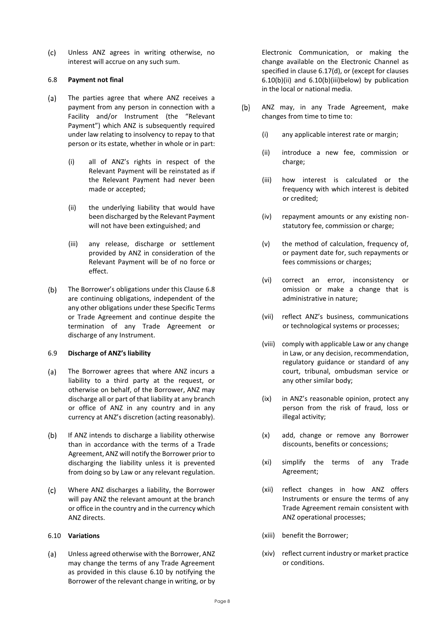$(c)$ Unless ANZ agrees in writing otherwise, no interest will accrue on any such sum.

# <span id="page-8-0"></span>6.8 **Payment not final**

- $(a)$ The parties agree that where ANZ receives a payment from any person in connection with a Facility and/or Instrument (the "Relevant Payment") which ANZ is subsequently required under law relating to insolvency to repay to that person or its estate, whether in whole or in part:
	- (i) all of ANZ's rights in respect of the Relevant Payment will be reinstated as if the Relevant Payment had never been made or accepted;
	- (ii) the underlying liability that would have been discharged by the Relevant Payment will not have been extinguished; and
	- (iii) any release, discharge or settlement provided by ANZ in consideration of the Relevant Payment will be of no force or effect.
- $(b)$ The Borrower's obligations under this Claus[e 6.8](#page-8-0) are continuing obligations, independent of the any other obligations under these Specific Terms or Trade Agreement and continue despite the termination of any Trade Agreement or discharge of any Instrument.

### 6.9 **Discharge of ANZ's liability**

- $(a)$ The Borrower agrees that where ANZ incurs a liability to a third party at the request, or otherwise on behalf, of the Borrower, ANZ may discharge all or part of that liability at any branch or office of ANZ in any country and in any currency at ANZ's discretion (acting reasonably).
- $(b)$ If ANZ intends to discharge a liability otherwise than in accordance with the terms of a Trade Agreement, ANZ will notify the Borrower prior to discharging the liability unless it is prevented from doing so by Law or any relevant regulation.
- $(c)$ Where ANZ discharges a liability, the Borrower will pay ANZ the relevant amount at the branch or office in the country and in the currency which ANZ directs.

# <span id="page-8-1"></span>6.10 **Variations**

 $(a)$ Unless agreed otherwise with the Borrower, ANZ may change the terms of any Trade Agreement as provided in this clause [6.10](#page-8-1) by notifying the Borrower of the relevant change in writing, or by

Electronic Communication, or making the change available on the Electronic Channel as specified in clause [6.17\(d\),](#page-11-0) or (except for clauses [6.10\(b\)\(ii\)](#page-8-2) and [6.10\(b\)\(iii\)b](#page-8-3)elow) by publication in the local or national media.

- <span id="page-8-3"></span><span id="page-8-2"></span> $(b)$ ANZ may, in any Trade Agreement, make changes from time to time to:
	- (i) any applicable interest rate or margin;
	- (ii) introduce a new fee, commission or charge;
	- (iii) how interest is calculated or the frequency with which interest is debited or credited;
	- (iv) repayment amounts or any existing nonstatutory fee, commission or charge;
	- (v) the method of calculation, frequency of, or payment date for, such repayments or fees commissions or charges;
	- (vi) correct an error, inconsistency or omission or make a change that is administrative in nature;
	- (vii) reflect ANZ's business, communications or technological systems or processes;
	- (viii) comply with applicable Law or any change in Law, or any decision, recommendation, regulatory guidance or standard of any court, tribunal, ombudsman service or any other similar body;
	- (ix) in ANZ's reasonable opinion, protect any person from the risk of fraud, loss or illegal activity;
	- (x) add, change or remove any Borrower discounts, benefits or concessions;
	- (xi) simplify the terms of any Trade Agreement;
	- (xii) reflect changes in how ANZ offers Instruments or ensure the terms of any Trade Agreement remain consistent with ANZ operational processes;
	- (xiii) benefit the Borrower;
	- (xiv) reflect current industry or market practice or conditions.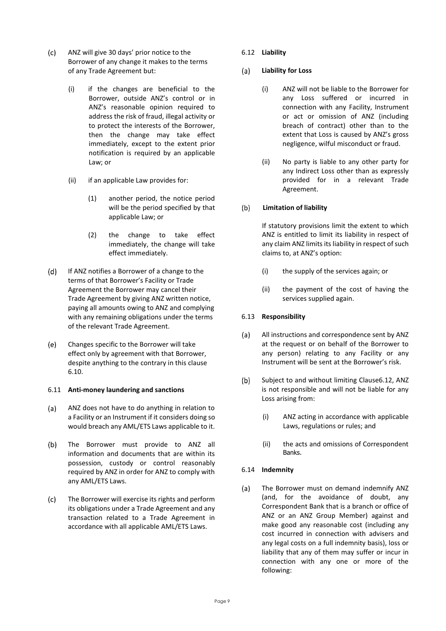- $(c)$ ANZ will give 30 days' prior notice to the Borrower of any change it makes to the terms of any Trade Agreement but:
	- (i) if the changes are beneficial to the Borrower, outside ANZ's control or in ANZ's reasonable opinion required to address the risk of fraud, illegal activity or to protect the interests of the Borrower, then the change may take effect immediately, except to the extent prior notification is required by an applicable Law; or
	- (ii) if an applicable Law provides for:
		- (1) another period, the notice period will be the period specified by that applicable Law; or
		- (2) the change to take effect immediately, the change will take effect immediately.
- $(d)$ If ANZ notifies a Borrower of a change to the terms of that Borrower's Facility or Trade Agreement the Borrower may cancel their Trade Agreement by giving ANZ written notice, paying all amounts owing to ANZ and complying with any remaining obligations under the terms of the relevant Trade Agreement.
- $(e)$ Changes specific to the Borrower will take effect only by agreement with that Borrower, despite anything to the contrary in this clause [6.10.](#page-8-1)

# 6.11 **Anti-money laundering and sanctions**

- $(a)$ ANZ does not have to do anything in relation to a Facility or an Instrument if it considers doing so would breach any AML/ETS Laws applicable to it.
- $(b)$ The Borrower must provide to ANZ all information and documents that are within its possession, custody or control reasonably required by ANZ in order for ANZ to comply with any AML/ETS Laws.
- $(c)$ The Borrower will exercise its rights and perform its obligations under a Trade Agreement and any transaction related to a Trade Agreement in accordance with all applicable AML/ETS Laws.

# <span id="page-9-0"></span>6.12 **Liability**

#### **Liability for Loss**  $(a)$

- (i) ANZ will not be liable to the Borrower for any Loss suffered or incurred in connection with any Facility, Instrument or act or omission of ANZ (including breach of contract) other than to the extent that Loss is caused by ANZ's gross negligence, wilful misconduct or fraud.
- (ii) No party is liable to any other party for any Indirect Loss other than as expressly provided for in a relevant Trade Agreement.

#### $(b)$ **Limitation of liability**

If statutory provisions limit the extent to which ANZ is entitled to limit its liability in respect of any claim ANZ limits its liability in respect of such claims to, at ANZ's option:

- (i) the supply of the services again; or
- (ii) the payment of the cost of having the services supplied again.

# 6.13 **Responsibility**

- $(a)$ All instructions and correspondence sent by ANZ at the request or on behalf of the Borrower to any person) relating to any Facility or any Instrument will be sent at the Borrower's risk.
- $(b)$ Subject to and without limiting Claus[e6.12,](#page-9-0) ANZ is not responsible and will not be liable for any Loss arising from:
	- (i) ANZ acting in accordance with applicable Laws, regulations or rules; and
	- (ii) the acts and omissions of Correspondent Banks.

# <span id="page-9-1"></span>6.14 **Indemnity**

The Borrower must on demand indemnify ANZ  $(a)$ (and, for the avoidance of doubt, any Correspondent Bank that is a branch or office of ANZ or an ANZ Group Member) against and make good any reasonable cost (including any cost incurred in connection with advisers and any legal costs on a full indemnity basis), loss or liability that any of them may suffer or incur in connection with any one or more of the following: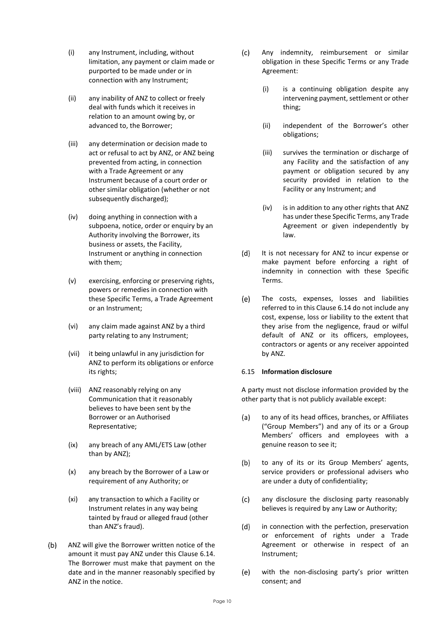- (i) any Instrument, including, without limitation, any payment or claim made or purported to be made under or in connection with any Instrument;
- (ii) any inability of ANZ to collect or freely deal with funds which it receives in relation to an amount owing by, or advanced to, the Borrower;
- (iii) any determination or decision made to act or refusal to act by ANZ, or ANZ being prevented from acting, in connection with a Trade Agreement or any Instrument because of a court order or other similar obligation (whether or not subsequently discharged);
- (iv) doing anything in connection with a subpoena, notice, order or enquiry by an Authority involving the Borrower, its business or assets, the Facility, Instrument or anything in connection with them;
- (v) exercising, enforcing or preserving rights, powers or remedies in connection with these Specific Terms, a Trade Agreement or an Instrument;
- (vi) any claim made against ANZ by a third party relating to any Instrument;
- (vii) it being unlawful in any jurisdiction for ANZ to perform its obligations or enforce its rights;
- (viii) ANZ reasonably relying on any Communication that it reasonably believes to have been sent by the Borrower or an Authorised Representative;
- (ix) any breach of any AML/ETS Law (other than by ANZ);
- (x) any breach by the Borrower of a Law or requirement of any Authority; or
- (xi) any transaction to which a Facility or Instrument relates in any way being tainted by fraud or alleged fraud (other than ANZ's fraud).
- $(b)$ ANZ will give the Borrower written notice of the amount it must pay ANZ under this Clause [6.14.](#page-9-1) The Borrower must make that payment on the date and in the manner reasonably specified by ANZ in the notice.
- $(c)$ Any indemnity, reimbursement or similar obligation in these Specific Terms or any Trade Agreement:
	- (i) is a continuing obligation despite any intervening payment, settlement or other thing;
	- (ii) independent of the Borrower's other obligations;
	- (iii) survives the termination or discharge of any Facility and the satisfaction of any payment or obligation secured by any security provided in relation to the Facility or any Instrument; and
	- (iv) is in addition to any other rights that ANZ has under these Specific Terms, any Trade Agreement or given independently by law.
- $(d)$ It is not necessary for ANZ to incur expense or make payment before enforcing a right of indemnity in connection with these Specific Terms.
- $(e)$ The costs, expenses, losses and liabilities referred to in this Claus[e 6.14](#page-9-1) do not include any cost, expense, loss or liability to the extent that they arise from the negligence, fraud or wilful default of ANZ or its officers, employees, contractors or agents or any receiver appointed by ANZ.

# 6.15 **Information disclosure**

A party must not disclose information provided by the other party that is not publicly available except:

- $(a)$ to any of its head offices, branches, or Affiliates ("Group Members") and any of its or a Group Members' officers and employees with a genuine reason to see it;
- to any of its or its Group Members' agents,  $(b)$ service providers or professional advisers who are under a duty of confidentiality;
- $(c)$ any disclosure the disclosing party reasonably believes is required by any Law or Authority;
- $(d)$ in connection with the perfection, preservation or enforcement of rights under a Trade Agreement or otherwise in respect of an Instrument;
- with the non-disclosing party's prior written  $(e)$ consent; and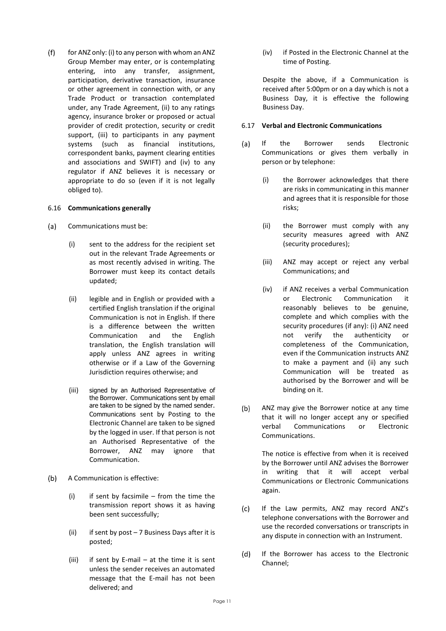$(f)$ for ANZ only: (i) to any person with whom an ANZ Group Member may enter, or is contemplating entering, into any transfer, assignment, participation, derivative transaction, insurance or other agreement in connection with, or any Trade Product or transaction contemplated under, any Trade Agreement, (ii) to any ratings agency, insurance broker or proposed or actual provider of credit protection, security or credit support, (iii) to participants in any payment systems (such as financial institutions, correspondent banks, payment clearing entities and associations and SWIFT) and (iv) to any regulator if ANZ believes it is necessary or appropriate to do so (even if it is not legally obliged to).

### 6.16 **Communications generally**

- $(a)$ Communications must be:
	- (i) sent to the address for the recipient set out in the relevant Trade Agreements or as most recently advised in writing. The Borrower must keep its contact details updated;
	- (ii) legible and in English or provided with a certified English translation if the original Communication is not in English. If there is a difference between the written Communication and the English translation, the English translation will apply unless ANZ agrees in writing otherwise or if a Law of the Governing Jurisdiction requires otherwise; and
	- (iii) signed by an Authorised Representative of the Borrower. Communications sent by email are taken to be signed by the named sender. Communications sent by Posting to the Electronic Channel are taken to be signed by the logged in user. If that person is not an Authorised Representative of the Borrower, ANZ may ignore that Communication.
- $(b)$ A Communication is effective:
	- $(i)$  if sent by facsimile from the time the transmission report shows it as having been sent successfully;
	- (ii) if sent by post  $-7$  Business Days after it is posted;
	- (iii) if sent by E-mail at the time it is sent unless the sender receives an automated message that the E-mail has not been delivered; and

(iv) if Posted in the Electronic Channel at the time of Posting.

Despite the above, if a Communication is received after 5:00pm or on a day which is not a Business Day, it is effective the following Business Day.

### 6.17 **Verbal and Electronic Communications**

- $(a)$ If the Borrower sends Electronic Communications or gives them verbally in person or by telephone:
	- (i) the Borrower acknowledges that there are risks in communicating in this manner and agrees that it is responsible for those risks;
	- (ii) the Borrower must comply with any security measures agreed with ANZ (security procedures);
	- (iii) ANZ may accept or reject any verbal Communications; and
	- (iv) if ANZ receives a verbal Communication or Electronic Communication it reasonably believes to be genuine, complete and which complies with the security procedures (if any): (i) ANZ need not verify the authenticity or completeness of the Communication, even if the Communication instructs ANZ to make a payment and (ii) any such Communication will be treated as authorised by the Borrower and will be binding on it.
- $(b)$ ANZ may give the Borrower notice at any time that it will no longer accept any or specified verbal Communications or Electronic Communications.

The notice is effective from when it is received by the Borrower until ANZ advises the Borrower in writing that it will accept verbal Communications or Electronic Communications again.

- If the Law permits, ANZ may record ANZ's  $(c)$ telephone conversations with the Borrower and use the recorded conversations or transcripts in any dispute in connection with an Instrument.
- <span id="page-11-0"></span>If the Borrower has access to the Electronic  $(d)$ Channel;